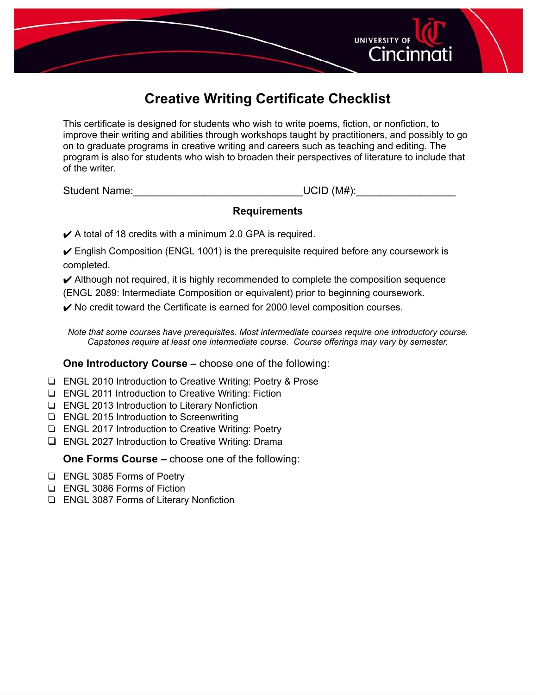

## **Creative Writing Certificate Checklist**

This certificate is designed for students who wish to write poems, fiction, or nonfiction, to improve their writing and abilities through workshops taught by practitioners, and possibly to go on to graduate programs in creative writing and careers such as teaching and editing. The program is also for students who wish to broaden their perspectives of literature to include that of the writer.

Student Name:\_\_\_\_\_\_\_\_\_\_\_\_\_\_\_\_\_\_\_\_\_\_\_\_\_\_\_\_\_UCID (M#):\_\_\_\_\_\_\_\_\_\_\_\_\_\_\_\_\_

## **Requirements**

 $\swarrow$  A total of 18 credits with a minimum 2.0 GPA is required.

- $\checkmark$  English Composition (ENGL 1001) is the prerequisite required before any coursework is completed.
- $\blacktriangleright$  Although not required, it is highly recommended to complete the composition sequence (ENGL 2089: Intermediate Composition or equivalent) prior to beginning coursework.

 $\triangleright$  No credit toward the Certificate is earned for 2000 level composition courses.

*Note that some courses have prerequisites. Most intermediate courses require one introductory course. Capstones require at least one intermediate course. Course offerings may vary by semester.*

## **One Introductory Course –** choose one of the following:

- ❏ ENGL 2010 Introduction to Creative Writing: Poetry & Prose
- ❏ ENGL 2011 Introduction to Creative Writing: Fiction
- ❏ ENGL 2013 Introduction to Literary Nonfiction
- ❏ ENGL 2015 Introduction to Screenwriting
- ❏ ENGL 2017 Introduction to Creative Writing: Poetry
- ❏ ENGL 2027 Introduction to Creative Writing: Drama

**One Forms Course –** choose one of the following:

- ❏ ENGL 3085 Forms of Poetry
- ❏ ENGL 3086 Forms of Fiction
- ❏ ENGL 3087 Forms of Literary Nonfiction